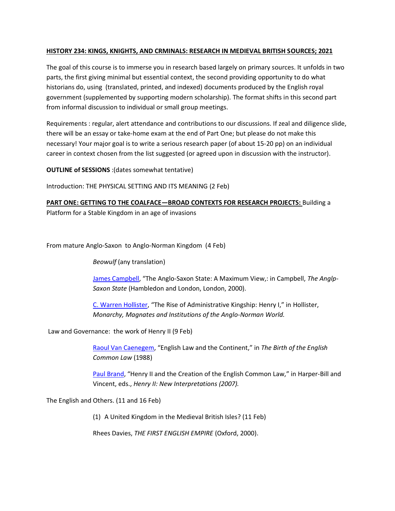## **HISTORY 234: KINGS, KNIGHTS, AND CRMINALS: RESEARCH IN MEDIEVAL BRITISH SOURCES; 2021**

The goal of this course is to immerse you in research based largely on primary sources. It unfolds in two parts, the first giving minimal but essential context, the second providing opportunity to do what historians do, using (translated, printed, and indexed) documents produced by the English royal government (supplemented by supporting modern scholarship). The format shifts in this second part from informal discussion to individual or small group meetings.

Requirements : regular, alert attendance and contributions to our discussions. If zeal and diligence slide, there will be an essay or take-home exam at the end of Part One; but please do not make this necessary! Your major goal is to write a serious research paper (of about 15-20 pp) on an individual career in context chosen from the list suggested (or agreed upon in discussion with the instructor).

**OUTLINE of SESSIONS** :(dates somewhat tentative)

Introduction: THE PHYSICAL SETTING AND ITS MEANING (2 Feb)

**PART ONE: GETTING TO THE COALFACE—BROAD CONTEXTS FOR RESEARCH PROJECTS:** Building a Platform for a Stable Kingdom in an age of invasions

From mature Anglo-Saxon to Anglo-Norman Kingdom (4 Feb)

*Beowulf* (any translation)

[James Campbell](https://learn.rochester.edu/bbcswebdav/courses/HIST234.1.SPRING2021ASE/kaeuperhis234spr21_readings/Campbell_LateAngloSaxonState.pdf), "The Anglo-Saxon State: A Maximum View,: in Campbell, *The Anglp-Saxon State* (Hambledon and London, London, 2000).

C. [Warren Hollister](https://learn.rochester.edu/bbcswebdav/courses/HIST234.1.SPRING2021ASE/kaeuperhis234spr21_readings/Hollister_MonarchyMagnatesAndInstitution.pdf), "The Rise of Administrative Kingship: Henry I," in Hollister, *Monarchy, Magnates and Institutions of the Anglo-Norman World.*

Law and Governance: the work of Henry II (9 Feb)

[Raoul Van Caenegem,](https://learn.rochester.edu/bbcswebdav/courses/HIST234.1.SPRING2021ASE/kaeuperhis234spr21_readings/Caenegem_EnglishLawAndTheContinent.pdf) "English Law and the Continent," in *The Birth of the English Common Law* (1988)

[Paul Brand](https://learn.rochester.edu/bbcswebdav/courses/HIST234.1.SPRING2021ASE/kaeuperhis234spr21_readings/Henry%20II_NewInterpretations.pdf), "Henry II and the Creation of the English Common Law," in Harper-Bill and Vincent, eds., *Henry II: New Interpretations (2007).*

The English and Others. (11 and 16 Feb)

(1) A United Kingdom in the Medieval British Isles? (11 Feb)

Rhees Davies, *THE FIRST ENGLISH EMPIRE* (Oxford, 2000).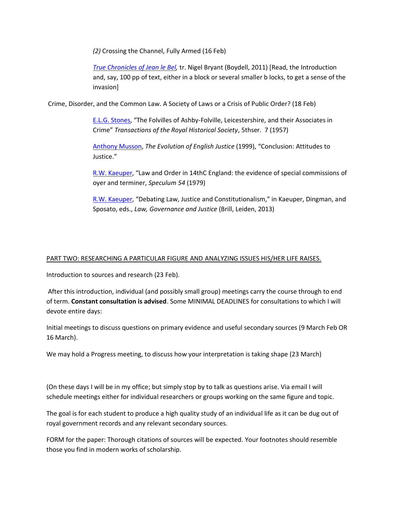*(2)* Crossing the Channel, Fully Armed (16 Feb)

*[True Chronicles of Jean le Bel,](https://rochester.summon.serialssolutions.com/2.0.0/link/0/eLvHCXMwlV1fb9owED918LDtYWq3VmP9F-2BJ-icpMTJ1LUqER3aplbaeBhPljFORdslEqFIfOt-hN05Tgple6jgATtnMHf2-Xz27w7A945Y-4lOSJTEoYRq0uPeKGQdheNKdRLu0sFvwgjv_J33h9Gvr9Hl7w14KKExj2mjaM-e2-nzD-QDYVjpzuOizDp1NrGH7eRzYu7Pq7gvcD88-I_AjWxxj_1lQhFQPYrLFhKKhbCtQWtCMxtfgc8pxFpRWTkUe5fNfK5M63hw1bw_mlyn2VRThRamV0Q1m97r5hx_eakzn0uF8ALqXsB5pwZvlh6L-LyanG6ItkJoA_GYZYYzStZCYDU0EQI6UOQFRh6NlAipsYCLr48GWuhyG92qpIxsuST2inJFj0vta5nfop5FHTzLlwNPlBc3V0zyrTyTlayYO7V5mOwyfbEJdU3YjS3Y0Olb2C5CoCycpkPxdaXJYbx4BwOcGg7xyVFlZODcyRLn5I-c3p5-0zI9-WQ-2poferXc1Xe2ouWQf63t-gHbBv-iN4j77fUuCusiE2sS93eglmapfg9OqMZMjuQoklodewmTOvE6iqPdqcbjyB834OMSp8T8zpxy52KFvQ3YrRgo1Ch7-nTHsFQULW-Ems1S__j6pgGHJY-F-Vp7Y1f0unEUkbHbgNZz_teH55HvwqvCh07vPaiRbPbhZdX-YG24HkD9vBsPh38BObosuA)* tr. Nigel Bryant (Boydell, 2011) [Read, the Introduction and, say, 100 pp of text, either in a block or several smaller b locks, to get a sense of the invasion]

Crime, Disorder, and the Common Law. A Society of Laws or a Crisis of Public Order? (18 Feb)

[E.L.G. Stones,](https://learn.rochester.edu/bbcswebdav/courses/HIST234.1.SPRING2021ASE/kaeuperhis234spr21_readings/Stones_TheFolvillesOfAshby-Folville.pdf) "The Folvilles of Ashby-Folville, Leicestershire, and their Associates in Crime" *Transactions of the Royal Historical Society*, 5thser. 7 (1957)

[Anthony Musson,](https://learn.rochester.edu/bbcswebdav/courses/HIST234.1.SPRING2021ASE/kaeuperhis234spr21_readings/Musson_EvolutionOfEnglishJustice.pdf) *The Evolution of English Justice* (1999), "Conclusion: Attitudes to Justice."

[R.W. Kaeuper](https://learn.rochester.edu/bbcswebdav/courses/HIST234.1.SPRING2021ASE/kaeuperhis234spr21_readings/Kaeuper_LawAndOrderInFourteenthCentury.pdf), "Law and Order in 14thC England: the evidence of special commissions of oyer and terminer, *Speculum 54* (1979)

[R.W. Kaeuper](https://learn.rochester.edu/bbcswebdav/courses/HIST234.1.SPRING2021ASE/kaeuperhis234spr21_readings/Kaeuper_DebatingLawJustice.pdf), "Debating Law, Justice and Constitutionalism," in Kaeuper, Dingman, and Sposato, eds., *Law, Governance and Justice* (Brill, Leiden, 2013)

## PART TWO: RESEARCHING A PARTICULAR FIGURE AND ANALYZING ISSUES HIS/HER LIFE RAISES.

Introduction to sources and research (23 Feb).

After this introduction, individual (and possibly small group) meetings carry the course through to end of term. **Constant consultation is advised**. Some MINIMAL DEADLINES for consultations to which I will devote entire days:

Initial meetings to discuss questions on primary evidence and useful secondary sources (9 March Feb OR 16 March).

We may hold a Progress meeting, to discuss how your interpretation is taking shape (23 March)

(On these days I will be in my office; but simply stop by to talk as questions arise. Via email I will schedule meetings either for individual researchers or groups working on the same figure and topic.

The goal is for each student to produce a high quality study of an individual life as it can be dug out of royal government records and any relevant secondary sources.

FORM for the paper: Thorough citations of sources will be expected. Your footnotes should resemble those you find in modern works of scholarship.